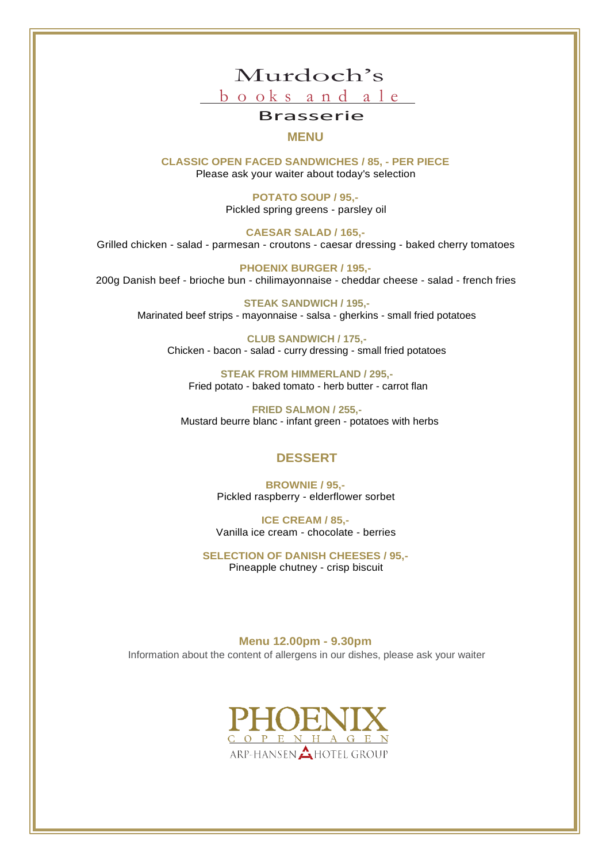

## Brasserie

**MENU**

**CLASSIC OPEN FACED SANDWICHES / 85, - PER PIECE** Please ask your waiter about today's selection

> **POTATO SOUP / 95,-** Pickled spring greens - parsley oil

**CAESAR SALAD / 165,-** Grilled chicken - salad - parmesan - croutons - caesar dressing - baked cherry tomatoes

**PHOENIX BURGER / 195,-** 200g Danish beef - brioche bun - chilimayonnaise - cheddar cheese - salad - french fries

**STEAK SANDWICH / 195,-** Marinated beef strips - mayonnaise - salsa - gherkins - small fried potatoes

**CLUB SANDWICH / 175,-** Chicken - bacon - salad - curry dressing - small fried potatoes

**STEAK FROM HIMMERLAND / 295,-** Fried potato - baked tomato - herb butter - carrot flan

**FRIED SALMON / 255,-** Mustard beurre blanc - infant green - potatoes with herbs

## **DESSERT**

**BROWNIE / 95,-** Pickled raspberry - elderflower sorbet

**ICE CREAM / 85,-** Vanilla ice cream - chocolate - berries

**SELECTION OF DANISH CHEESES / 95,-** Pineapple chutney - crisp biscuit

**Menu 12.00pm - 9.30pm** Information about the content of allergens in our dishes, please ask your waiter